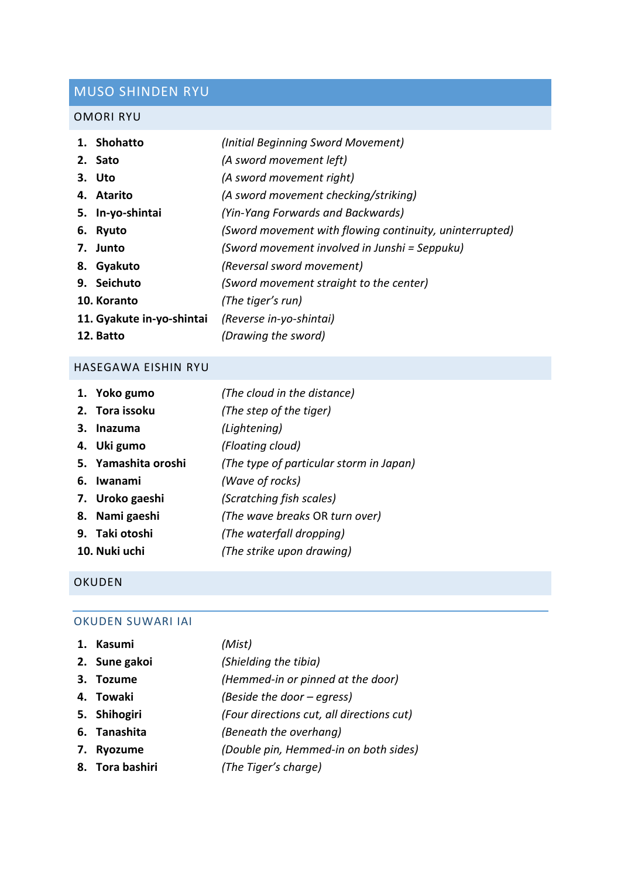# MUSO SHINDEN RYU

## OMORI RYU

| 1. Shohatto               | (Initial Beginning Sword Movement)                      |
|---------------------------|---------------------------------------------------------|
| 2. Sato                   | (A sword movement left)                                 |
| 3. Uto                    | (A sword movement right)                                |
| 4. Atarito                | (A sword movement checking/striking)                    |
| 5. In-yo-shintai          | (Yin-Yang Forwards and Backwards)                       |
| 6. Ryuto                  | (Sword movement with flowing continuity, uninterrupted) |
| 7. Junto                  | (Sword movement involved in Junshi = Seppuku)           |
| 8. Gyakuto                | (Reversal sword movement)                               |
| 9. Seichuto               | (Sword movement straight to the center)                 |
| 10. Koranto               | (The tiger's run)                                       |
| 11. Gyakute in-yo-shintai | (Reverse in-yo-shintai)                                 |
| 12. Batto                 | (Drawing the sword)                                     |

### HASEGAWA EISHIN RYU

| 1. Yoko gumo        | (The cloud in the distance)             |
|---------------------|-----------------------------------------|
| 2. Tora issoku      | (The step of the tiger)                 |
| 3. Inazuma          | (Lightening)                            |
| 4. Uki gumo         | (Floating cloud)                        |
| 5. Yamashita oroshi | (The type of particular storm in Japan) |
| 6. Iwanami          | (Wave of rocks)                         |
| 7. Uroko gaeshi     | (Scratching fish scales)                |
| 8. Nami gaeshi      | (The wave breaks OR turn over)          |
| 9. Taki otoshi      | (The waterfall dropping)                |
| 10. Nuki uchi       | (The strike upon drawing)               |

## OKUDEN

## OKUDEN SUWARI IAI

| 1. Kasumi       | (Mist)                                    |
|-----------------|-------------------------------------------|
| 2. Sune gakoi   | (Shielding the tibia)                     |
| 3. Tozume       | (Hemmed-in or pinned at the door)         |
| 4. Towaki       | (Beside the door – egress)                |
| 5. Shihogiri    | (Four directions cut, all directions cut) |
| 6. Tanashita    | (Beneath the overhang)                    |
| 7. Ryozume      | (Double pin, Hemmed-in on both sides)     |
| 8. Tora bashiri | (The Tiger's charge)                      |